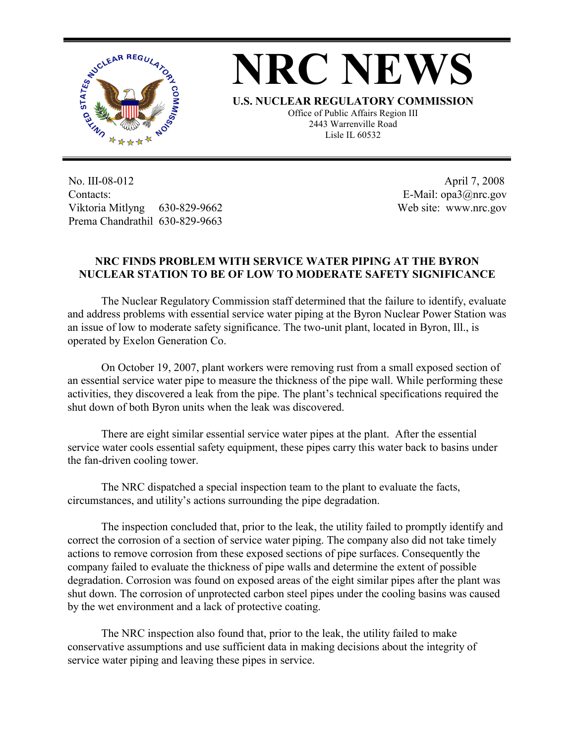

## **NRC NEWS**

**U.S. NUCLEAR REGULATORY COMMISSION** Office of Public Affairs Region III 2443 Warrenville Road Lisle IL 60532

No. III-08-012 Contacts: Viktoria Mitlyng 630-829-9662 Prema Chandrathil 630-829-9663

 April 7, 2008 E-Mail: opa3@nrc.gov Web site: www.nrc.gov

## **NRC FINDS PROBLEM WITH SERVICE WATER PIPING AT THE BYRON NUCLEAR STATION TO BE OF LOW TO MODERATE SAFETY SIGNIFICANCE**

The Nuclear Regulatory Commission staff determined that the failure to identify, evaluate and address problems with essential service water piping at the Byron Nuclear Power Station was an issue of low to moderate safety significance. The two-unit plant, located in Byron, Ill., is operated by Exelon Generation Co.

On October 19, 2007, plant workers were removing rust from a small exposed section of an essential service water pipe to measure the thickness of the pipe wall. While performing these activities, they discovered a leak from the pipe. The plant's technical specifications required the shut down of both Byron units when the leak was discovered.

There are eight similar essential service water pipes at the plant. After the essential service water cools essential safety equipment, these pipes carry this water back to basins under the fan-driven cooling tower.

The NRC dispatched a special inspection team to the plant to evaluate the facts, circumstances, and utility's actions surrounding the pipe degradation.

The inspection concluded that, prior to the leak, the utility failed to promptly identify and correct the corrosion of a section of service water piping. The company also did not take timely actions to remove corrosion from these exposed sections of pipe surfaces. Consequently the company failed to evaluate the thickness of pipe walls and determine the extent of possible degradation. Corrosion was found on exposed areas of the eight similar pipes after the plant was shut down. The corrosion of unprotected carbon steel pipes under the cooling basins was caused by the wet environment and a lack of protective coating.

The NRC inspection also found that, prior to the leak, the utility failed to make conservative assumptions and use sufficient data in making decisions about the integrity of service water piping and leaving these pipes in service.